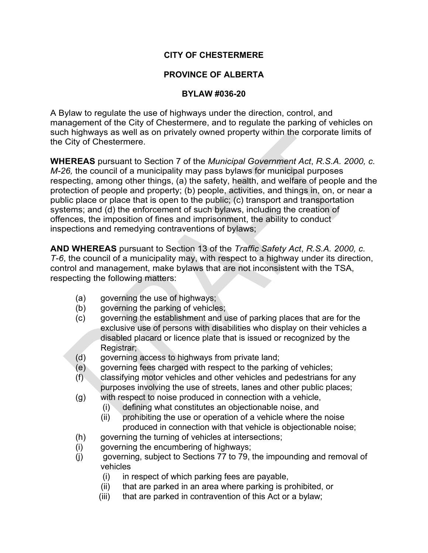# **CITY OF CHESTERMERE**

# **PROVINCE OF ALBERTA**

### **BYLAW #036-20**

A Bylaw to regulate the use of highways under the direction, control, and management of the City of Chestermere, and to regulate the parking of vehicles on such highways as well as on privately owned property within the corporate limits of the City of Chestermere.

**WHEREAS** pursuant to Section 7 of the *Municipal Government Act*, *R.S.A. 2000, c. M-26,* the council of a municipality may pass bylaws for municipal purposes respecting, among other things, (a) the safety, health, and welfare of people and the protection of people and property; (b) people, activities, and things in, on, or near a public place or place that is open to the public; (c) transport and transportation systems; and (d) the enforcement of such bylaws, including the creation of offences, the imposition of fines and imprisonment, the ability to conduct inspections and remedying contraventions of bylaws;

**AND WHEREAS** pursuant to Section 13 of the *Traffic Safety Act*, *R.S.A. 2000, c. T-6*, the council of a municipality may, with respect to a highway under its direction, control and management, make bylaws that are not inconsistent with the TSA, respecting the following matters:

- (a) governing the use of highways;
- (b) governing the parking of vehicles;
- (c) governing the establishment and use of parking places that are for the exclusive use of persons with disabilities who display on their vehicles a disabled placard or licence plate that is issued or recognized by the Registrar;
- (d) governing access to highways from private land;
- (e) governing fees charged with respect to the parking of vehicles;
- (f) classifying motor vehicles and other vehicles and pedestrians for any purposes involving the use of streets, lanes and other public places;
- (g) with respect to noise produced in connection with a vehicle,
	- (i) defining what constitutes an objectionable noise, and
	- (ii) prohibiting the use or operation of a vehicle where the noise produced in connection with that vehicle is objectionable noise;
- (h) governing the turning of vehicles at intersections;
- (i) governing the encumbering of highways;
- (j) governing, subject to Sections 77 to 79, the impounding and removal of vehicles
	- (i) in respect of which parking fees are payable,
	- (ii) that are parked in an area where parking is prohibited, or
	- (iii) that are parked in contravention of this Act or a bylaw;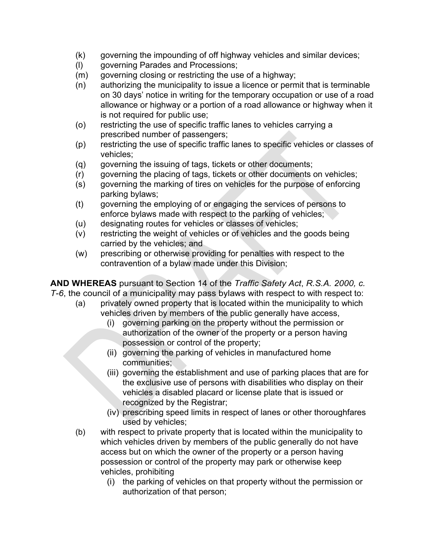- (k) governing the impounding of off highway vehicles and similar devices;
- (l) governing Parades and Processions;
- (m) governing closing or restricting the use of a highway;
- (n) authorizing the municipality to issue a licence or permit that is terminable on 30 days' notice in writing for the temporary occupation or use of a road allowance or highway or a portion of a road allowance or highway when it is not required for public use;
- (o) restricting the use of specific traffic lanes to vehicles carrying a prescribed number of passengers;
- (p) restricting the use of specific traffic lanes to specific vehicles or classes of vehicles;
- (q) governing the issuing of tags, tickets or other documents;
- (r) governing the placing of tags, tickets or other documents on vehicles;
- (s) governing the marking of tires on vehicles for the purpose of enforcing parking bylaws;
- (t) governing the employing of or engaging the services of persons to enforce bylaws made with respect to the parking of vehicles;
- (u) designating routes for vehicles or classes of vehicles;
- (v) restricting the weight of vehicles or of vehicles and the goods being carried by the vehicles; and
- (w) prescribing or otherwise providing for penalties with respect to the contravention of a bylaw made under this Division;

**AND WHEREAS** pursuant to Section 14 of the *Traffic Safety Act*, *R.S.A. 2000, c. T-6*, the council of a municipality may pass bylaws with respect to with respect to:

- (a) privately owned property that is located within the municipality to which vehicles driven by members of the public generally have access,
	- (i) governing parking on the property without the permission or authorization of the owner of the property or a person having possession or control of the property;
	- (ii) governing the parking of vehicles in manufactured home communities;
	- (iii) governing the establishment and use of parking places that are for the exclusive use of persons with disabilities who display on their vehicles a disabled placard or license plate that is issued or recognized by the Registrar;
	- (iv) prescribing speed limits in respect of lanes or other thoroughfares used by vehicles;
- (b) with respect to private property that is located within the municipality to which vehicles driven by members of the public generally do not have access but on which the owner of the property or a person having possession or control of the property may park or otherwise keep vehicles, prohibiting
	- (i) the parking of vehicles on that property without the permission or authorization of that person;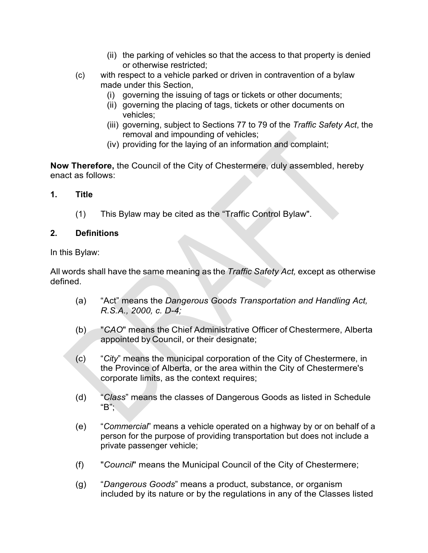- (ii) the parking of vehicles so that the access to that property is denied or otherwise restricted;
- (c) with respect to a vehicle parked or driven in contravention of a bylaw made under this Section,
	- (i) governing the issuing of tags or tickets or other documents;
	- (ii) governing the placing of tags, tickets or other documents on vehicles;
	- (iii) governing, subject to Sections 77 to 79 of the *Traffic Safety Act*, the removal and impounding of vehicles;
	- (iv) providing for the laying of an information and complaint;

**Now Therefore,** the Council of the City of Chestermere, duly assembled, hereby enact as follows:

# **1. Title**

(1) This Bylaw may be cited as the "Traffic Control Bylaw".

# **2. Definitions**

In this Bylaw:

All words shall have the same meaning as the *Traffic Safety Act,* except as otherwise defined.

- (a) "Act" means the *Dangerous Goods Transportation and Handling Act, R.S.A., 2000, c. D-4;*
- (b) "*CAO*" means the Chief Administrative Officer of Chestermere, Alberta appointed by Council, or their designate;
- (c) "*City*" means the municipal corporation of the City of Chestermere, in the Province of Alberta, or the area within the City of Chestermere's corporate limits, as the context requires;
- (d) "*Class*" means the classes of Dangerous Goods as listed in Schedule  $"B"$ ;
- (e) "*Commercial*" means a vehicle operated on a highway by or on behalf of a person for the purpose of providing transportation but does not include a private passenger vehicle;
- (f) "*Council*" means the Municipal Council of the City of Chestermere;
- (g) "*Dangerous Goods*" means a product, substance, or organism included by its nature or by the regulations in any of the Classes listed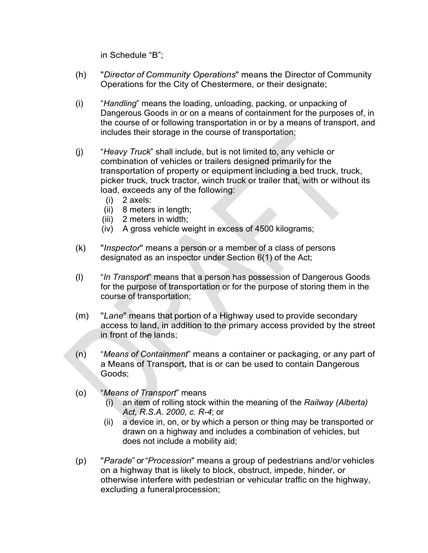in Schedule "B";

- (h) "*Director of Community Operations*" means the Director of Community Operations for the City of Chestermere, or their designate;
- (i) "*Handling*" means the loading, unloading, packing, or unpacking of Dangerous Goods in or on a means of containment for the purposes of, in the course of or following transportation in or by a means of transport, and includes their storage in the course of transportation;
- (j) "*Heavy Truck*" shall include, but is not limited to, any vehicle or combination of vehicles or trailers designed primarily for the transportation of property or equipment including a bed truck, truck, picker truck, truck tractor, winch truck or trailer that, with or without its load, exceeds any of the following:
	- (i) 2 axels:
	- (ii) 8 meters in length;
	- (iii) 2 meters in width;
	- (iv) A gross vehicle weight in excess of 4500 kilograms;
- (k) "*Inspector*" means a person or a member of a class of persons designated as an inspector under Section 6(1) of the Act;
- (l) "*In Transport*" means that a person has possession of Dangerous Goods for the purpose of transportation or for the purpose of storing them in the course of transportation;
- (m) "*Lane*" means that portion of a Highway used to provide secondary access to land, in addition to the primary access provided by the street in front of the lands;
- (n) "*Means of Containment*" means a container or packaging, or any part of a Means of Transport, that is or can be used to contain Dangerous Goods;
- (o) "*Means of Transport*" means
	- (i) an item of rolling stock within the meaning of the *Railway (Alberta) Act, R.S.A. 2000, c. R-4*; or
	- (ii) a device in, on, or by which a person or thing may be transported or drawn on a highway and includes a combination of vehicles, but does not include a mobility aid;
- (p) "*Parade*" or "*Procession*" means a group of pedestrians and/or vehicles on a highway that is likely to block, obstruct, impede, hinder, or otherwise interfere with pedestrian or vehicular traffic on the highway, excluding a funeralprocession;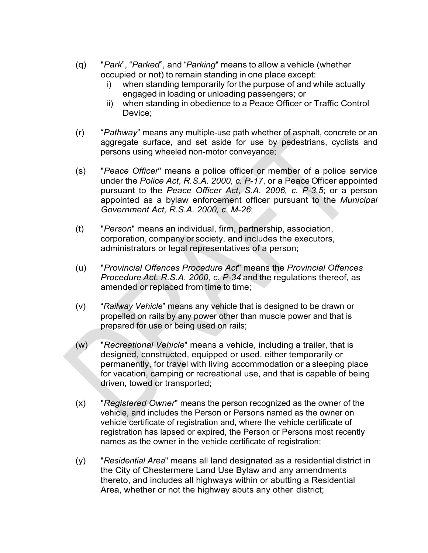- (q) "*Park*", "*Parked*", and "*Parking*" means to allow a vehicle (whether occupied or not) to remain standing in one place except:
	- i) when standing temporarily for the purpose of and while actually engaged in loading or unloading passengers; or
	- ii) when standing in obedience to a Peace Officer or Traffic Control Device;
- (r) "*Pathway*" means any multiple-use path whether of asphalt, concrete or an aggregate surface, and set aside for use by pedestrians, cyclists and persons using wheeled non-motor conveyance;
- (s) "*Peace Officer*" means a police officer or member of a police service under the *Police Act*, *R.S.A. 2000, c. P-17*, or a Peace Officer appointed pursuant to the *Peace Officer Act*, *S.A. 2006, c. P-3.5*; or a person appointed as a bylaw enforcement officer pursuant to the *Municipal Government Act, R.S.A. 2000, c. M-26*;
- (t) "*Person*" means an individual, firm, partnership, association, corporation, company or society, and includes the executors, administrators or legal representatives of a person;
- (u) "*Provincial Offences Procedure Act*" means the *Provincial Offences Procedure Act, R.S.A. 2000, c. P-34* and the regulations thereof, as amended or replaced from time to time;
- (v) "*Railway Vehicle*" means any vehicle that is designed to be drawn or propelled on rails by any power other than muscle power and that is prepared for use or being used on rails;
- (w) "*Recreational Vehicle*" means a vehicle, including a trailer, that is designed, constructed, equipped or used, either temporarily or permanently, for travel with living accommodation or a sleeping place for vacation, camping or recreational use, and that is capable of being driven, towed or transported;
- (x) "*Registered Owner*" means the person recognized as the owner of the vehicle, and includes the Person or Persons named as the owner on vehicle certificate of registration and, where the vehicle certificate of registration has lapsed or expired, the Person or Persons most recently names as the owner in the vehicle certificate of registration;
- (y) "*Residential Area*" means all land designated as a residential district in the City of Chestermere Land Use Bylaw and any amendments thereto, and includes all highways within or abutting a Residential Area, whether or not the highway abuts any other district;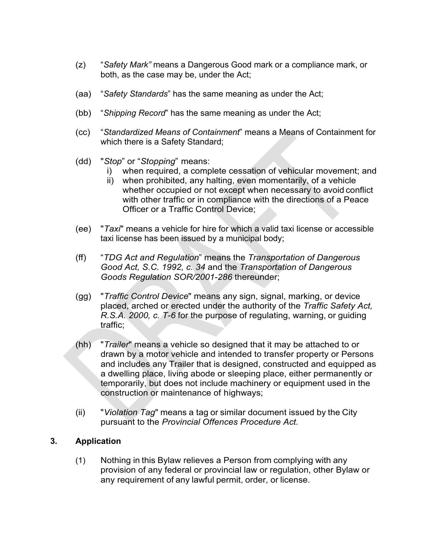- (z) "*Safety Mark"* means a Dangerous Good mark or a compliance mark, or both, as the case may be, under the Act;
- (aa) "*Safety Standards*" has the same meaning as under the Act;
- (bb) "*Shipping Record*" has the same meaning as under the Act;
- (cc) "*Standardized Means of Containment*" means a Means of Containment for which there is a Safety Standard;
- (dd) "*Stop*" or "*Stopping*" means:
	- when required, a complete cessation of vehicular movement; and
	- ii) when prohibited, any halting, even momentarily, of a vehicle whether occupied or not except when necessary to avoid conflict with other traffic or in compliance with the directions of a Peace Officer or a Traffic Control Device;
- (ee) "*Taxi*" means a vehicle for hire for which a valid taxi license or accessible taxi license has been issued by a municipal body;
- (ff) "*TDG Act and Regulation*" means the *Transportation of Dangerous Good Act, S.C. 1992, c. 34* and the *Transportation of Dangerous Goods Regulation SOR/2001-286* thereunder;
- (gg) "*Traffic Control Device*" means any sign, signal, marking, or device placed, arched or erected under the authority of the *Traffic Safety Act, R.S.A. 2000, c. T-6* for the purpose of regulating, warning, or guiding traffic;
- (hh) "*Trailer*" means a vehicle so designed that it may be attached to or drawn by a motor vehicle and intended to transfer property or Persons and includes any Trailer that is designed, constructed and equipped as a dwelling place, living abode or sleeping place, either permanently or temporarily, but does not include machinery or equipment used in the construction or maintenance of highways;
- (ii) "*Violation Tag*" means a tag or similar document issued by the City pursuant to the *Provincial Offences Procedure Act.*

# **3. Application**

(1) Nothing in this Bylaw relieves a Person from complying with any provision of any federal or provincial law or regulation, other Bylaw or any requirement of any lawful permit, order, or license.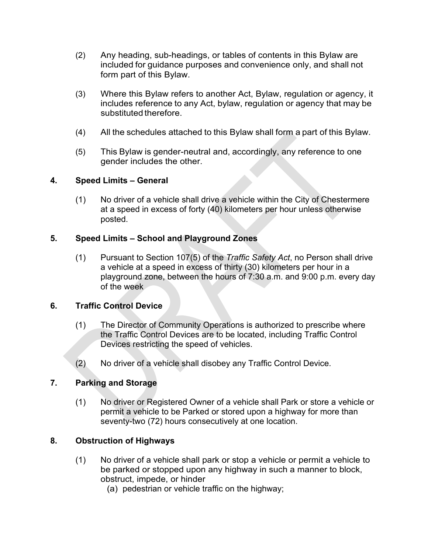- (2) Any heading, sub-headings, or tables of contents in this Bylaw are included for guidance purposes and convenience only, and shall not form part of this Bylaw.
- (3) Where this Bylaw refers to another Act, Bylaw, regulation or agency, it includes reference to any Act, bylaw, regulation or agency that may be substituted therefore.
- (4) All the schedules attached to this Bylaw shall form a part of this Bylaw.
- (5) This Bylaw is gender-neutral and, accordingly, any reference to one gender includes the other.

# **4. Speed Limits – General**

(1) No driver of a vehicle shall drive a vehicle within the City of Chestermere at a speed in excess of forty (40) kilometers per hour unless otherwise posted.

### **5. Speed Limits – School and Playground Zones**

(1) Pursuant to Section 107(5) of the *Traffic Safety Act*, no Person shall drive a vehicle at a speed in excess of thirty (30) kilometers per hour in a playground zone, between the hours of 7:30 a.m. and 9:00 p.m. every day of the week

# **6. Traffic Control Device**

- (1) The Director of Community Operations is authorized to prescribe where the Traffic Control Devices are to be located, including Traffic Control Devices restricting the speed of vehicles.
- (2) No driver of a vehicle shall disobey any Traffic Control Device.

# **7. Parking and Storage**

(1) No driver or Registered Owner of a vehicle shall Park or store a vehicle or permit a vehicle to be Parked or stored upon a highway for more than seventy-two (72) hours consecutively at one location.

# **8. Obstruction of Highways**

- (1) No driver of a vehicle shall park or stop a vehicle or permit a vehicle to be parked or stopped upon any highway in such a manner to block, obstruct, impede, or hinder
	- (a) pedestrian or vehicle traffic on the highway;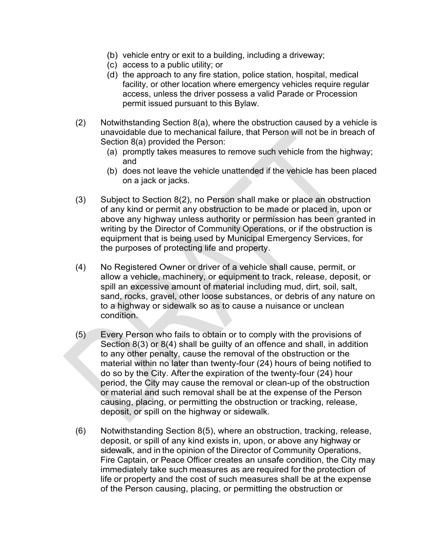- (b) vehicle entry or exit to a building, including a driveway;
- (c) access to a public utility; or
- (d) the approach to any fire station, police station, hospital, medical facility, or other location where emergency vehicles require regular access, unless the driver possess a valid Parade or Procession permit issued pursuant to this Bylaw.
- (2) Notwithstanding Section 8(a), where the obstruction caused by a vehicle is unavoidable due to mechanical failure, that Person will not be in breach of Section 8(a) provided the Person:
	- (a) promptly takes measures to remove such vehicle from the highway; and
	- (b) does not leave the vehicle unattended if the vehicle has been placed on a jack or jacks.
- (3) Subject to Section 8(2), no Person shall make or place an obstruction of any kind or permit any obstruction to be made or placed in, upon or above any highway unless authority or permission has been granted in writing by the Director of Community Operations, or if the obstruction is equipment that is being used by Municipal Emergency Services, for the purposes of protecting life and property.
- (4) No Registered Owner or driver of a vehicle shall cause, permit, or allow a vehicle, machinery, or equipment to track, release, deposit, or spill an excessive amount of material including mud, dirt, soil, salt, sand, rocks, gravel, other loose substances, or debris of any nature on to a highway or sidewalk so as to cause a nuisance or unclean condition.
- (5) Every Person who fails to obtain or to comply with the provisions of Section 8(3) or 8(4) shall be guilty of an offence and shall, in addition to any other penalty, cause the removal of the obstruction or the material within no later than twenty-four (24) hours of being notified to do so by the City. After the expiration of the twenty-four (24) hour period, the City may cause the removal or clean-up of the obstruction or material and such removal shall be at the expense of the Person causing, placing, or permitting the obstruction or tracking, release, deposit, or spill on the highway or sidewalk.
- (6) Notwithstanding Section 8(5), where an obstruction, tracking, release, deposit, or spill of any kind exists in, upon, or above any highway or sidewalk, and in the opinion of the Director of Community Operations, Fire Captain, or Peace Officer creates an unsafe condition, the City may immediately take such measures as are required for the protection of life or property and the cost of such measures shall be at the expense of the Person causing, placing, or permitting the obstruction or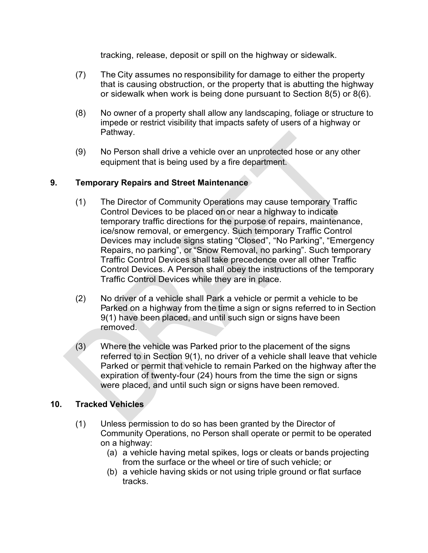tracking, release, deposit or spill on the highway or sidewalk.

- (7) The City assumes no responsibility for damage to either the property that is causing obstruction, or the property that is abutting the highway or sidewalk when work is being done pursuant to Section 8(5) or 8(6).
- (8) No owner of a property shall allow any landscaping, foliage or structure to impede or restrict visibility that impacts safety of users of a highway or Pathway.
- (9) No Person shall drive a vehicle over an unprotected hose or any other equipment that is being used by a fire department.

### **9. Temporary Repairs and Street Maintenance**

- (1) The Director of Community Operations may cause temporary Traffic Control Devices to be placed on or near a highway to indicate temporary traffic directions for the purpose of repairs, maintenance, ice/snow removal, or emergency. Such temporary Traffic Control Devices may include signs stating "Closed", "No Parking", "Emergency Repairs, no parking", or "Snow Removal, no parking". Such temporary Traffic Control Devices shall take precedence over all other Traffic Control Devices. A Person shall obey the instructions of the temporary Traffic Control Devices while they are in place.
- (2) No driver of a vehicle shall Park a vehicle or permit a vehicle to be Parked on a highway from the time a sign or signs referred to in Section 9(1) have been placed, and until such sign or signs have been removed.
- (3) Where the vehicle was Parked prior to the placement of the signs referred to in Section 9(1), no driver of a vehicle shall leave that vehicle Parked or permit that vehicle to remain Parked on the highway after the expiration of twenty-four (24) hours from the time the sign or signs were placed, and until such sign or signs have been removed.

# **10. Tracked Vehicles**

- (1) Unless permission to do so has been granted by the Director of Community Operations, no Person shall operate or permit to be operated on a highway:
	- (a) a vehicle having metal spikes, logs or cleats or bands projecting from the surface or the wheel or tire of such vehicle; or
	- (b) a vehicle having skids or not using triple ground or flat surface tracks.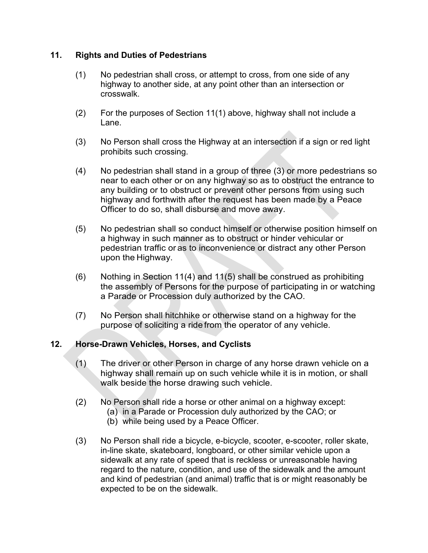### **11. Rights and Duties of Pedestrians**

- (1) No pedestrian shall cross, or attempt to cross, from one side of any highway to another side, at any point other than an intersection or crosswalk.
- (2) For the purposes of Section 11(1) above, highway shall not include a Lane.
- (3) No Person shall cross the Highway at an intersection if a sign or red light prohibits such crossing.
- (4) No pedestrian shall stand in a group of three (3) or more pedestrians so near to each other or on any highway so as to obstruct the entrance to any building or to obstruct or prevent other persons from using such highway and forthwith after the request has been made by a Peace Officer to do so, shall disburse and move away.
- (5) No pedestrian shall so conduct himself or otherwise position himself on a highway in such manner as to obstruct or hinder vehicular or pedestrian traffic or as to inconvenience or distract any other Person upon the Highway.
- (6) Nothing in Section 11(4) and 11(5) shall be construed as prohibiting the assembly of Persons for the purpose of participating in or watching a Parade or Procession duly authorized by the CAO.
- (7) No Person shall hitchhike or otherwise stand on a highway for the purpose of soliciting a ride from the operator of any vehicle.

# **12. Horse-Drawn Vehicles, Horses, and Cyclists**

- (1) The driver or other Person in charge of any horse drawn vehicle on a highway shall remain up on such vehicle while it is in motion, or shall walk beside the horse drawing such vehicle.
- (2) No Person shall ride a horse or other animal on a highway except:
	- (a) in a Parade or Procession duly authorized by the CAO; or
		- (b) while being used by a Peace Officer.
- (3) No Person shall ride a bicycle, e-bicycle, scooter, e-scooter, roller skate, in-line skate, skateboard, longboard, or other similar vehicle upon a sidewalk at any rate of speed that is reckless or unreasonable having regard to the nature, condition, and use of the sidewalk and the amount and kind of pedestrian (and animal) traffic that is or might reasonably be expected to be on the sidewalk.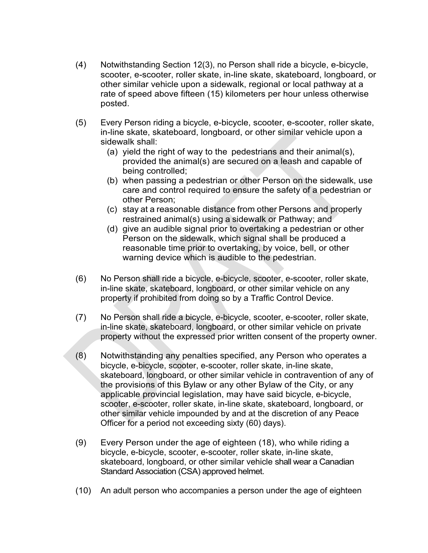- (4) Notwithstanding Section 12(3), no Person shall ride a bicycle, e-bicycle, scooter, e-scooter, roller skate, in-line skate, skateboard, longboard, or other similar vehicle upon a sidewalk, regional or local pathway at a rate of speed above fifteen (15) kilometers per hour unless otherwise posted.
- (5) Every Person riding a bicycle, e-bicycle, scooter, e-scooter, roller skate, in-line skate, skateboard, longboard, or other similar vehicle upon a sidewalk shall:
	- (a) yield the right of way to the pedestrians and their animal(s), provided the animal(s) are secured on a leash and capable of being controlled;
	- (b) when passing a pedestrian or other Person on the sidewalk, use care and control required to ensure the safety of a pedestrian or other Person;
	- (c) stay at a reasonable distance from other Persons and properly restrained animal(s) using a sidewalk or Pathway; and
	- (d) give an audible signal prior to overtaking a pedestrian or other Person on the sidewalk, which signal shall be produced a reasonable time prior to overtaking, by voice, bell, or other warning device which is audible to the pedestrian.
- (6) No Person shall ride a bicycle, e-bicycle, scooter, e-scooter, roller skate, in-line skate, skateboard, longboard, or other similar vehicle on any property if prohibited from doing so by a Traffic Control Device.
- (7) No Person shall ride a bicycle, e-bicycle, scooter, e-scooter, roller skate, in-line skate, skateboard, longboard, or other similar vehicle on private property without the expressed prior written consent of the property owner.
- (8) Notwithstanding any penalties specified, any Person who operates a bicycle, e-bicycle, scooter, e-scooter, roller skate, in-line skate, skateboard, longboard, or other similar vehicle in contravention of any of the provisions of this Bylaw or any other Bylaw of the City, or any applicable provincial legislation, may have said bicycle, e-bicycle, scooter, e-scooter, roller skate, in-line skate, skateboard, longboard, or other similar vehicle impounded by and at the discretion of any Peace Officer for a period not exceeding sixty (60) days).
- (9) Every Person under the age of eighteen (18), who while riding a bicycle, e-bicycle, scooter, e-scooter, roller skate, in-line skate, skateboard, longboard, or other similar vehicle shall wear a Canadian Standard Association (CSA) approved helmet.
- (10) An adult person who accompanies a person under the age of eighteen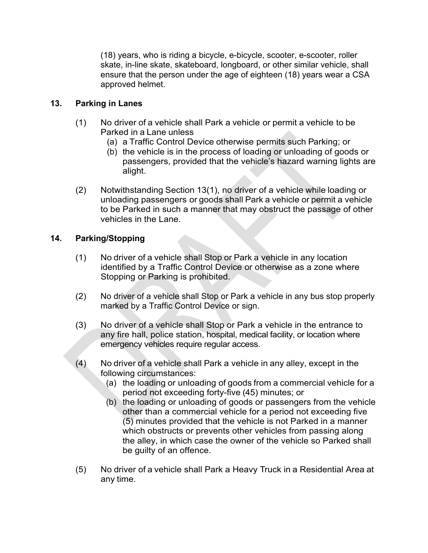(18) years, who is riding a bicycle, e-bicycle, scooter, e-scooter, roller skate, in-line skate, skateboard, longboard, or other similar vehicle, shall ensure that the person under the age of eighteen (18) years wear a CSA approved helmet.

### **13. Parking in Lanes**

- (1) No driver of a vehicle shall Park a vehicle or permit a vehicle to be Parked in a Lane unless
	- (a) a Traffic Control Device otherwise permits such Parking; or
	- (b) the vehicle is in the process of loading or unloading of goods or passengers, provided that the vehicle's hazard warning lights are alight.
- (2) Notwithstanding Section 13(1), no driver of a vehicle while loading or unloading passengers or goods shall Park a vehicle or permit a vehicle to be Parked in such a manner that may obstruct the passage of other vehicles in the Lane.

### **14. Parking/Stopping**

- (1) No driver of a vehicle shall Stop or Park a vehicle in any location identified by a Traffic Control Device or otherwise as a zone where Stopping or Parking is prohibited.
- (2) No driver of a vehicle shall Stop or Park a vehicle in any bus stop properly marked by a Traffic Control Device or sign.
- (3) No driver of a vehicle shall Stop or Park a vehicle in the entrance to any fire hall, police station, hospital, medical facility, or location where emergency vehicles require regular access.
- (4) No driver of a vehicle shall Park a vehicle in any alley, except in the following circumstances:
	- (a) the loading or unloading of goods from a commercial vehicle for a period not exceeding forty-five (45) minutes; or
	- (b) the loading or unloading of goods or passengers from the vehicle other than a commercial vehicle for a period not exceeding five (5) minutes provided that the vehicle is not Parked in a manner which obstructs or prevents other vehicles from passing along the alley, in which case the owner of the vehicle so Parked shall be guilty of an offence.
- (5) No driver of a vehicle shall Park a Heavy Truck in a Residential Area at any time.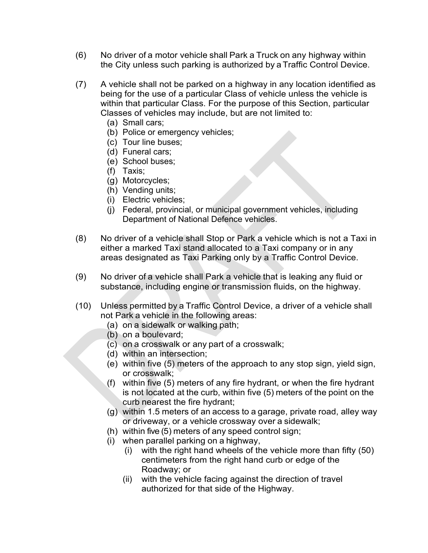- (6) No driver of a motor vehicle shall Park a Truck on any highway within the City unless such parking is authorized by a Traffic Control Device.
- (7) A vehicle shall not be parked on a highway in any location identified as being for the use of a particular Class of vehicle unless the vehicle is within that particular Class. For the purpose of this Section, particular Classes of vehicles may include, but are not limited to:
	- (a) Small cars;
	- (b) Police or emergency vehicles;
	- (c) Tour line buses;
	- (d) Funeral cars;
	- (e) School buses;
	- (f) Taxis;
	- (g) Motorcycles;
	- (h) Vending units;
	- (i) Electric vehicles;
	- (j) Federal, provincial, or municipal government vehicles, including Department of National Defence vehicles.
- (8) No driver of a vehicle shall Stop or Park a vehicle which is not a Taxi in either a marked Taxi stand allocated to a Taxi company or in any areas designated as Taxi Parking only by a Traffic Control Device.
- (9) No driver of a vehicle shall Park a vehicle that is leaking any fluid or substance, including engine or transmission fluids, on the highway.
- (10) Unless permitted by a Traffic Control Device, a driver of a vehicle shall not Park a vehicle in the following areas:
	- (a) on a sidewalk or walking path;
	- (b) on a boulevard;
	- (c) on a crosswalk or any part of a crosswalk;
	- (d) within an intersection;
	- (e) within five (5) meters of the approach to any stop sign, yield sign, or crosswalk;
	- (f) within five (5) meters of any fire hydrant, or when the fire hydrant is not located at the curb, within five (5) meters of the point on the curb nearest the fire hydrant;
	- (g) within 1.5 meters of an access to a garage, private road, alley way or driveway, or a vehicle crossway over a sidewalk;
	- (h) within five (5) meters of any speed control sign;
	- (i) when parallel parking on a highway,
		- (i) with the right hand wheels of the vehicle more than fifty (50) centimeters from the right hand curb or edge of the Roadway; or
		- (ii) with the vehicle facing against the direction of travel authorized for that side of the Highway.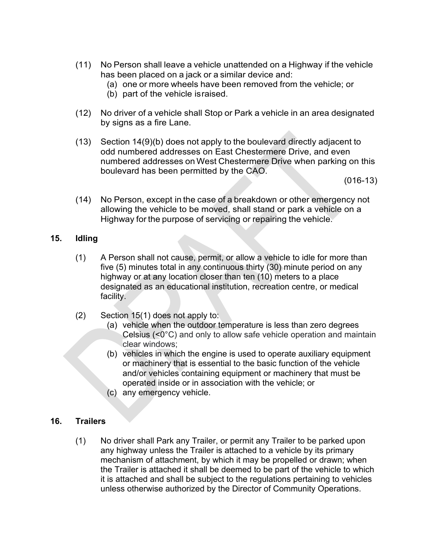- (11) No Person shall leave a vehicle unattended on a Highway if the vehicle has been placed on a jack or a similar device and:
	- (a) one or more wheels have been removed from the vehicle; or
	- (b) part of the vehicle israised.
- (12) No driver of a vehicle shall Stop or Park a vehicle in an area designated by signs as a fire Lane.
- (13) Section 14(9)(b) does not apply to the boulevard directly adjacent to odd numbered addresses on East Chestermere Drive, and even numbered addresses on West Chestermere Drive when parking on this boulevard has been permitted by the CAO.

(016-13)

(14) No Person, except in the case of a breakdown or other emergency not allowing the vehicle to be moved, shall stand or park a vehicle on a Highway for the purpose of servicing or repairing the vehicle.

### **15. Idling**

- (1) A Person shall not cause, permit, or allow a vehicle to idle for more than five (5) minutes total in any continuous thirty (30) minute period on any highway or at any location closer than ten (10) meters to a place designated as an educational institution, recreation centre, or medical facility.
- (2) Section 15(1) does not apply to:
	- (a) vehicle when the outdoor temperature is less than zero degrees Celsius (<0°C) and only to allow safe vehicle operation and maintain clear windows;
	- (b) vehicles in which the engine is used to operate auxiliary equipment or machinery that is essential to the basic function of the vehicle and/or vehicles containing equipment or machinery that must be operated inside or in association with the vehicle; or
	- (c) any emergency vehicle.

# **16. Trailers**

(1) No driver shall Park any Trailer, or permit any Trailer to be parked upon any highway unless the Trailer is attached to a vehicle by its primary mechanism of attachment, by which it may be propelled or drawn; when the Trailer is attached it shall be deemed to be part of the vehicle to which it is attached and shall be subject to the regulations pertaining to vehicles unless otherwise authorized by the Director of Community Operations.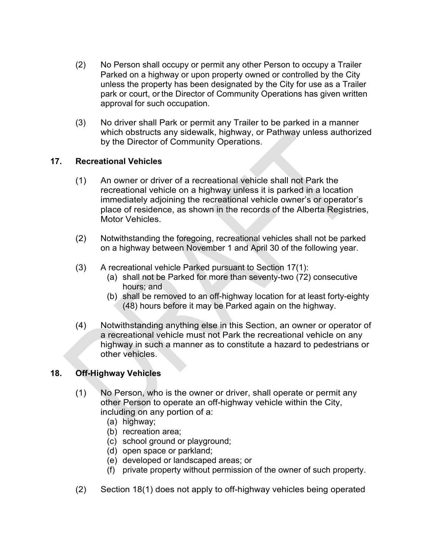- (2) No Person shall occupy or permit any other Person to occupy a Trailer Parked on a highway or upon property owned or controlled by the City unless the property has been designated by the City for use as a Trailer park or court, or the Director of Community Operations has given written approval for such occupation.
- (3) No driver shall Park or permit any Trailer to be parked in a manner which obstructs any sidewalk, highway, or Pathway unless authorized by the Director of Community Operations.

### **17. Recreational Vehicles**

- (1) An owner or driver of a recreational vehicle shall not Park the recreational vehicle on a highway unless it is parked in a location immediately adjoining the recreational vehicle owner's or operator's place of residence, as shown in the records of the Alberta Registries, Motor Vehicles.
- (2) Notwithstanding the foregoing, recreational vehicles shall not be parked on a highway between November 1 and April 30 of the following year.
- (3) A recreational vehicle Parked pursuant to Section 17(1):
	- (a) shall not be Parked for more than seventy-two (72) consecutive hours; and
	- (b) shall be removed to an off-highway location for at least forty-eighty (48) hours before it may be Parked again on the highway.
- (4) Notwithstanding anything else in this Section, an owner or operator of a recreational vehicle must not Park the recreational vehicle on any highway in such a manner as to constitute a hazard to pedestrians or other vehicles.

#### **18. Off-Highway Vehicles**

- (1) No Person, who is the owner or driver, shall operate or permit any other Person to operate an off-highway vehicle within the City, including on any portion of a:
	- (a) highway;
	- (b) recreation area;
	- (c) school ground or playground;
	- (d) open space or parkland;
	- (e) developed or landscaped areas; or
	- (f) private property without permission of the owner of such property.
- (2) Section 18(1) does not apply to off-highway vehicles being operated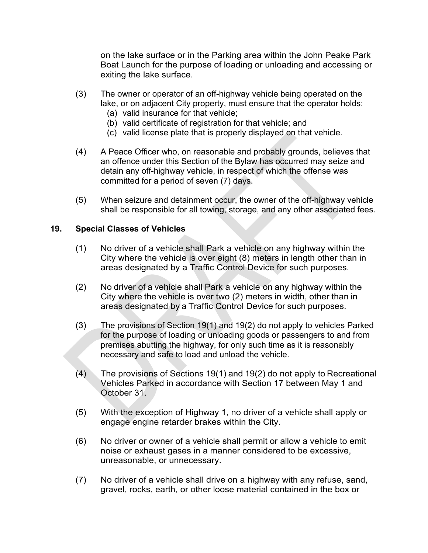on the lake surface or in the Parking area within the John Peake Park Boat Launch for the purpose of loading or unloading and accessing or exiting the lake surface.

- (3) The owner or operator of an off-highway vehicle being operated on the lake, or on adjacent City property, must ensure that the operator holds:
	- (a) valid insurance for that vehicle;
	- (b) valid certificate of registration for that vehicle; and
	- (c) valid license plate that is properly displayed on that vehicle.
- (4) A Peace Officer who, on reasonable and probably grounds, believes that an offence under this Section of the Bylaw has occurred may seize and detain any off-highway vehicle, in respect of which the offense was committed for a period of seven (7) days.
- (5) When seizure and detainment occur, the owner of the off-highway vehicle shall be responsible for all towing, storage, and any other associated fees.

#### **19. Special Classes of Vehicles**

- (1) No driver of a vehicle shall Park a vehicle on any highway within the City where the vehicle is over eight (8) meters in length other than in areas designated by a Traffic Control Device for such purposes.
- (2) No driver of a vehicle shall Park a vehicle on any highway within the City where the vehicle is over two (2) meters in width, other than in areas designated by a Traffic Control Device for such purposes.
- (3) The provisions of Section 19(1) and 19(2) do not apply to vehicles Parked for the purpose of loading or unloading goods or passengers to and from premises abutting the highway, for only such time as it is reasonably necessary and safe to load and unload the vehicle.
- (4) The provisions of Sections 19(1) and 19(2) do not apply to Recreational Vehicles Parked in accordance with Section 17 between May 1 and October 31.
- (5) With the exception of Highway 1, no driver of a vehicle shall apply or engage engine retarder brakes within the City.
- (6) No driver or owner of a vehicle shall permit or allow a vehicle to emit noise or exhaust gases in a manner considered to be excessive, unreasonable, or unnecessary.
- (7) No driver of a vehicle shall drive on a highway with any refuse, sand, gravel, rocks, earth, or other loose material contained in the box or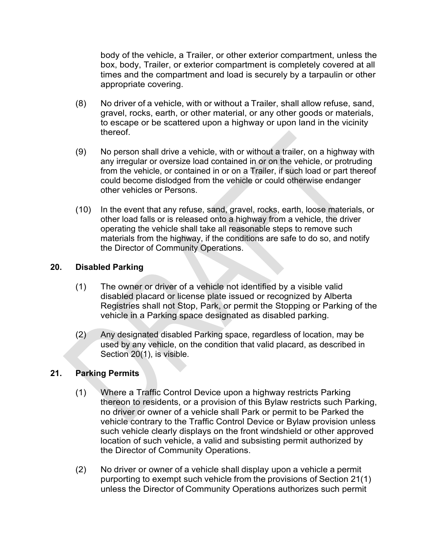body of the vehicle, a Trailer, or other exterior compartment, unless the box, body, Trailer, or exterior compartment is completely covered at all times and the compartment and load is securely by a tarpaulin or other appropriate covering.

- (8) No driver of a vehicle, with or without a Trailer, shall allow refuse, sand, gravel, rocks, earth, or other material, or any other goods or materials, to escape or be scattered upon a highway or upon land in the vicinity thereof.
- (9) No person shall drive a vehicle, with or without a trailer, on a highway with any irregular or oversize load contained in or on the vehicle, or protruding from the vehicle, or contained in or on a Trailer, if such load or part thereof could become dislodged from the vehicle or could otherwise endanger other vehicles or Persons.
- (10) In the event that any refuse, sand, gravel, rocks, earth, loose materials, or other load falls or is released onto a highway from a vehicle, the driver operating the vehicle shall take all reasonable steps to remove such materials from the highway, if the conditions are safe to do so, and notify the Director of Community Operations.

### **20. Disabled Parking**

- (1) The owner or driver of a vehicle not identified by a visible valid disabled placard or license plate issued or recognized by Alberta Registries shall not Stop, Park, or permit the Stopping or Parking of the vehicle in a Parking space designated as disabled parking.
- (2) Any designated disabled Parking space, regardless of location, may be used by any vehicle, on the condition that valid placard, as described in Section 20(1), is visible.

#### **21. Parking Permits**

- (1) Where a Traffic Control Device upon a highway restricts Parking thereon to residents, or a provision of this Bylaw restricts such Parking, no driver or owner of a vehicle shall Park or permit to be Parked the vehicle contrary to the Traffic Control Device or Bylaw provision unless such vehicle clearly displays on the front windshield or other approved location of such vehicle, a valid and subsisting permit authorized by the Director of Community Operations.
- (2) No driver or owner of a vehicle shall display upon a vehicle a permit purporting to exempt such vehicle from the provisions of Section 21(1) unless the Director of Community Operations authorizes such permit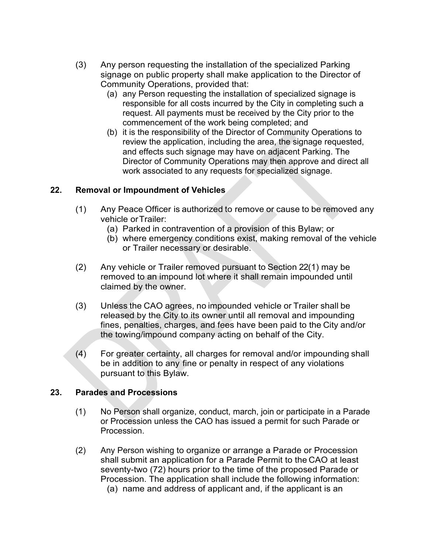- (3) Any person requesting the installation of the specialized Parking signage on public property shall make application to the Director of Community Operations, provided that:
	- (a) any Person requesting the installation of specialized signage is responsible for all costs incurred by the City in completing such a request. All payments must be received by the City prior to the commencement of the work being completed; and
	- (b) it is the responsibility of the Director of Community Operations to review the application, including the area, the signage requested, and effects such signage may have on adjacent Parking. The Director of Community Operations may then approve and direct all work associated to any requests for specialized signage.

### **22. Removal or Impoundment of Vehicles**

- (1) Any Peace Officer is authorized to remove or cause to be removed any vehicle orTrailer:
	- (a) Parked in contravention of a provision of this Bylaw; or
	- (b) where emergency conditions exist, making removal of the vehicle or Trailer necessary or desirable.
- (2) Any vehicle or Trailer removed pursuant to Section 22(1) may be removed to an impound lot where it shall remain impounded until claimed by the owner.
- (3) Unless the CAO agrees, no impounded vehicle or Trailer shall be released by the City to its owner until all removal and impounding fines, penalties, charges, and fees have been paid to the City and/or the towing/impound company acting on behalf of the City.
- (4) For greater certainty, all charges for removal and/or impounding shall be in addition to any fine or penalty in respect of any violations pursuant to this Bylaw.

#### **23. Parades and Processions**

- (1) No Person shall organize, conduct, march, join or participate in a Parade or Procession unless the CAO has issued a permit for such Parade or Procession.
- (2) Any Person wishing to organize or arrange a Parade or Procession shall submit an application for a Parade Permit to the CAO at least seventy-two (72) hours prior to the time of the proposed Parade or Procession. The application shall include the following information: (a) name and address of applicant and, if the applicant is an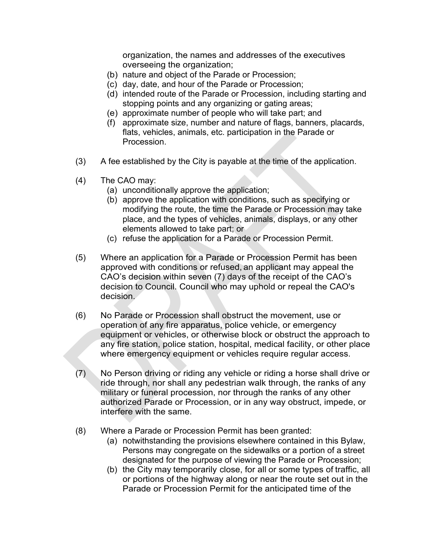organization, the names and addresses of the executives overseeing the organization;

- (b) nature and object of the Parade or Procession;
- (c) day, date, and hour of the Parade or Procession;
- (d) intended route of the Parade or Procession, including starting and stopping points and any organizing or gating areas;
- (e) approximate number of people who will take part; and
- (f) approximate size, number and nature of flags, banners, placards, flats, vehicles, animals, etc. participation in the Parade or Procession.
- (3) A fee established by the City is payable at the time of the application.
- (4) The CAO may:
	- (a) unconditionally approve the application;
	- (b) approve the application with conditions, such as specifying or modifying the route, the time the Parade or Procession may take place, and the types of vehicles, animals, displays, or any other elements allowed to take part; or
	- (c) refuse the application for a Parade or Procession Permit.
- (5) Where an application for a Parade or Procession Permit has been approved with conditions or refused, an applicant may appeal the CAO's decision within seven (7) days of the receipt of the CAO's decision to Council. Council who may uphold or repeal the CAO's decision.
- (6) No Parade or Procession shall obstruct the movement, use or operation of any fire apparatus, police vehicle, or emergency equipment or vehicles, or otherwise block or obstruct the approach to any fire station, police station, hospital, medical facility, or other place where emergency equipment or vehicles require regular access.
- $(7)$  No Person driving or riding any vehicle or riding a horse shall drive or ride through, nor shall any pedestrian walk through, the ranks of any military or funeral procession, nor through the ranks of any other authorized Parade or Procession, or in any way obstruct, impede, or interfere with the same.
- (8) Where a Parade or Procession Permit has been granted:
	- (a) notwithstanding the provisions elsewhere contained in this Bylaw, Persons may congregate on the sidewalks or a portion of a street designated for the purpose of viewing the Parade or Procession;
	- (b) the City may temporarily close, for all or some types of traffic, all or portions of the highway along or near the route set out in the Parade or Procession Permit for the anticipated time of the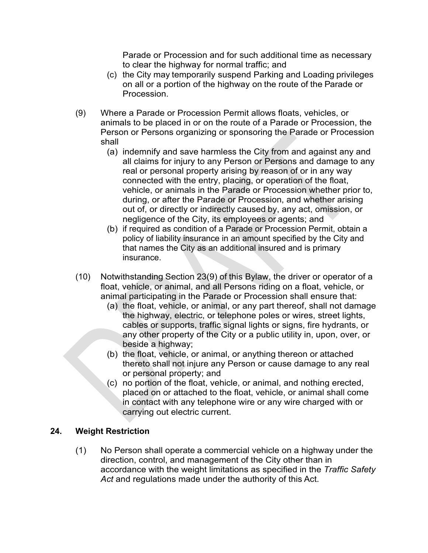Parade or Procession and for such additional time as necessary to clear the highway for normal traffic; and

- (c) the City may temporarily suspend Parking and Loading privileges on all or a portion of the highway on the route of the Parade or Procession.
- (9) Where a Parade or Procession Permit allows floats, vehicles, or animals to be placed in or on the route of a Parade or Procession, the Person or Persons organizing or sponsoring the Parade or Procession shall
	- (a) indemnify and save harmless the City from and against any and all claims for injury to any Person or Persons and damage to any real or personal property arising by reason of or in any way connected with the entry, placing, or operation of the float, vehicle, or animals in the Parade or Procession whether prior to, during, or after the Parade or Procession, and whether arising out of, or directly or indirectly caused by, any act, omission, or negligence of the City, its employees or agents; and
	- (b) if required as condition of a Parade or Procession Permit, obtain a policy of liability insurance in an amount specified by the City and that names the City as an additional insured and is primary insurance.
- (10) Notwithstanding Section 23(9) of this Bylaw, the driver or operator of a float, vehicle, or animal, and all Persons riding on a float, vehicle, or animal participating in the Parade or Procession shall ensure that:
	- (a) the float, vehicle, or animal, or any part thereof, shall not damage the highway, electric, or telephone poles or wires, street lights, cables or supports, traffic signal lights or signs, fire hydrants, or any other property of the City or a public utility in, upon, over, or beside a highway;
	- (b) the float, vehicle, or animal, or anything thereon or attached thereto shall not injure any Person or cause damage to any real or personal property; and
	- (c) no portion of the float, vehicle, or animal, and nothing erected, placed on or attached to the float, vehicle, or animal shall come in contact with any telephone wire or any wire charged with or carrying out electric current.

# **24. Weight Restriction**

(1) No Person shall operate a commercial vehicle on a highway under the direction, control, and management of the City other than in accordance with the weight limitations as specified in the *Traffic Safety Act* and regulations made under the authority of this Act.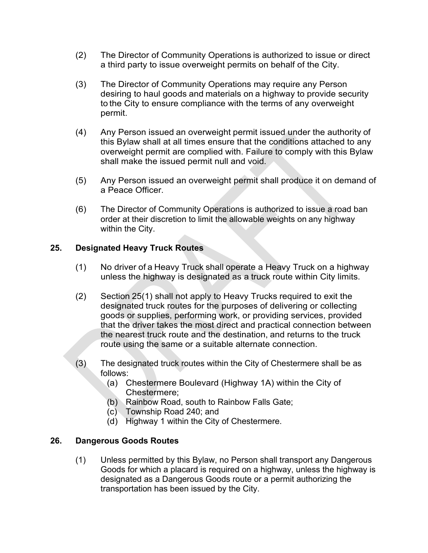- (2) The Director of Community Operations is authorized to issue or direct a third party to issue overweight permits on behalf of the City.
- (3) The Director of Community Operations may require any Person desiring to haul goods and materials on a highway to provide security to the City to ensure compliance with the terms of any overweight permit.
- (4) Any Person issued an overweight permit issued under the authority of this Bylaw shall at all times ensure that the conditions attached to any overweight permit are complied with. Failure to comply with this Bylaw shall make the issued permit null and void.
- (5) Any Person issued an overweight permit shall produce it on demand of a Peace Officer.
- (6) The Director of Community Operations is authorized to issue a road ban order at their discretion to limit the allowable weights on any highway within the City.

### **25. Designated Heavy Truck Routes**

- (1) No driver of a Heavy Truck shall operate a Heavy Truck on a highway unless the highway is designated as a truck route within City limits.
- (2) Section 25(1) shall not apply to Heavy Trucks required to exit the designated truck routes for the purposes of delivering or collecting goods or supplies, performing work, or providing services, provided that the driver takes the most direct and practical connection between the nearest truck route and the destination, and returns to the truck route using the same or a suitable alternate connection.
- (3) The designated truck routes within the City of Chestermere shall be as follows:
	- (a) Chestermere Boulevard (Highway 1A) within the City of Chestermere;
	- (b) Rainbow Road, south to Rainbow Falls Gate;
	- (c) Township Road 240; and
	- (d) Highway 1 within the City of Chestermere.

#### **26. Dangerous Goods Routes**

(1) Unless permitted by this Bylaw, no Person shall transport any Dangerous Goods for which a placard is required on a highway, unless the highway is designated as a Dangerous Goods route or a permit authorizing the transportation has been issued by the City.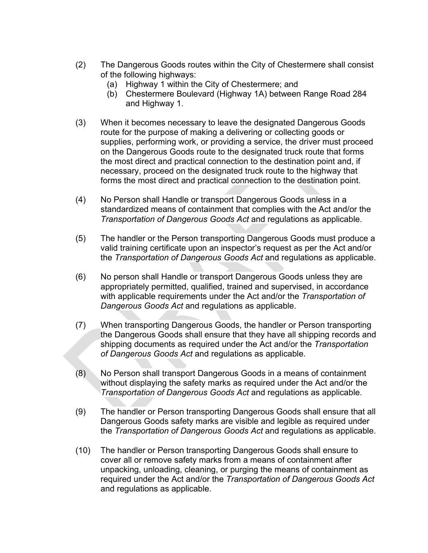- (2) The Dangerous Goods routes within the City of Chestermere shall consist of the following highways:
	- (a) Highway 1 within the City of Chestermere; and
	- (b) Chestermere Boulevard (Highway 1A) between Range Road 284 and Highway 1.
- (3) When it becomes necessary to leave the designated Dangerous Goods route for the purpose of making a delivering or collecting goods or supplies, performing work, or providing a service, the driver must proceed on the Dangerous Goods route to the designated truck route that forms the most direct and practical connection to the destination point and, if necessary, proceed on the designated truck route to the highway that forms the most direct and practical connection to the destination point.
- (4) No Person shall Handle or transport Dangerous Goods unless in a standardized means of containment that complies with the Act and/or the *Transportation of Dangerous Goods Act* and regulations as applicable.
- (5) The handler or the Person transporting Dangerous Goods must produce a valid training certificate upon an inspector's request as per the Act and/or the *Transportation of Dangerous Goods Act* and regulations as applicable.
- (6) No person shall Handle or transport Dangerous Goods unless they are appropriately permitted, qualified, trained and supervised, in accordance with applicable requirements under the Act and/or the *Transportation of Dangerous Goods Act* and regulations as applicable.
- (7) When transporting Dangerous Goods, the handler or Person transporting the Dangerous Goods shall ensure that they have all shipping records and shipping documents as required under the Act and/or the *Transportation of Dangerous Goods Act* and regulations as applicable.
- (8) No Person shall transport Dangerous Goods in a means of containment without displaying the safety marks as required under the Act and/or the *Transportation of Dangerous Goods Act* and regulations as applicable.
- (9) The handler or Person transporting Dangerous Goods shall ensure that all Dangerous Goods safety marks are visible and legible as required under the *Transportation of Dangerous Goods Act* and regulations as applicable.
- (10) The handler or Person transporting Dangerous Goods shall ensure to cover all or remove safety marks from a means of containment after unpacking, unloading, cleaning, or purging the means of containment as required under the Act and/or the *Transportation of Dangerous Goods Act* and regulations as applicable.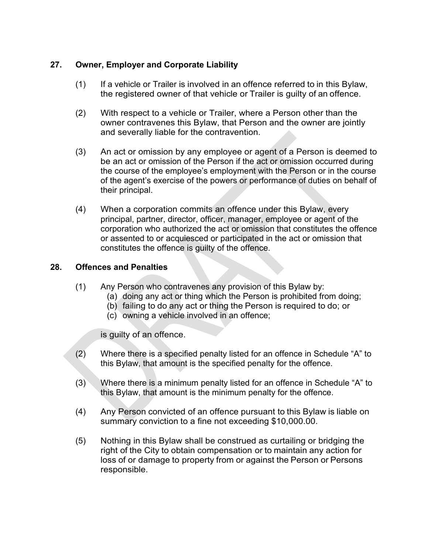# **27. Owner, Employer and Corporate Liability**

- (1) If a vehicle or Trailer is involved in an offence referred to in this Bylaw, the registered owner of that vehicle or Trailer is guilty of an offence.
- (2) With respect to a vehicle or Trailer, where a Person other than the owner contravenes this Bylaw, that Person and the owner are jointly and severally liable for the contravention.
- (3) An act or omission by any employee or agent of a Person is deemed to be an act or omission of the Person if the act or omission occurred during the course of the employee's employment with the Person or in the course of the agent's exercise of the powers or performance of duties on behalf of their principal.
- (4) When a corporation commits an offence under this Bylaw, every principal, partner, director, officer, manager, employee or agent of the corporation who authorized the act or omission that constitutes the offence or assented to or acquiesced or participated in the act or omission that constitutes the offence is guilty of the offence.

#### **28. Offences and Penalties**

- (1) Any Person who contravenes any provision of this Bylaw by:
	- (a) doing any act or thing which the Person is prohibited from doing;
	- (b) failing to do any act or thing the Person is required to do; or
	- (c) owning a vehicle involved in an offence;

is guilty of an offence.

- (2) Where there is a specified penalty listed for an offence in Schedule "A" to this Bylaw, that amount is the specified penalty for the offence.
- (3) Where there is a minimum penalty listed for an offence in Schedule "A" to this Bylaw, that amount is the minimum penalty for the offence.
- (4) Any Person convicted of an offence pursuant to this Bylaw is liable on summary conviction to a fine not exceeding \$10,000.00.
- (5) Nothing in this Bylaw shall be construed as curtailing or bridging the right of the City to obtain compensation or to maintain any action for loss of or damage to property from or against the Person or Persons responsible.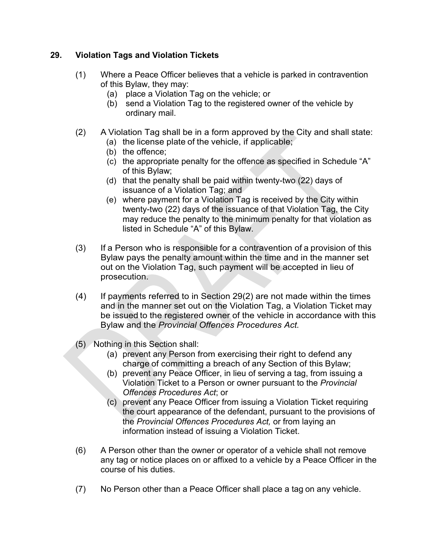# **29. Violation Tags and Violation Tickets**

- (1) Where a Peace Officer believes that a vehicle is parked in contravention of this Bylaw, they may:
	- (a) place a Violation Tag on the vehicle; or
	- (b) send a Violation Tag to the registered owner of the vehicle by ordinary mail.
- (2) A Violation Tag shall be in a form approved by the City and shall state:
	- (a) the license plate of the vehicle, if applicable;
	- (b) the offence;
	- (c) the appropriate penalty for the offence as specified in Schedule "A" of this Bylaw;
	- (d) that the penalty shall be paid within twenty-two (22) days of issuance of a Violation Tag; and
	- (e) where payment for a Violation Tag is received by the City within twenty-two (22) days of the issuance of that Violation Tag, the City may reduce the penalty to the minimum penalty for that violation as listed in Schedule "A" of this Bylaw.
- (3) If a Person who is responsible for a contravention of a provision of this Bylaw pays the penalty amount within the time and in the manner set out on the Violation Tag, such payment will be accepted in lieu of prosecution.
- $(4)$  If payments referred to in Section 29(2) are not made within the times and in the manner set out on the Violation Tag, a Violation Ticket may be issued to the registered owner of the vehicle in accordance with this Bylaw and the *Provincial Offences Procedures Act.*
- (5) Nothing in this Section shall:
	- (a) prevent any Person from exercising their right to defend any charge of committing a breach of any Section of this Bylaw;
	- (b) prevent any Peace Officer, in lieu of serving a tag, from issuing a Violation Ticket to a Person or owner pursuant to the *Provincial Offences Procedures Act*; or
	- (c) prevent any Peace Officer from issuing a Violation Ticket requiring the court appearance of the defendant, pursuant to the provisions of the *Provincial Offences Procedures Act,* or from laying an information instead of issuing a Violation Ticket.
- (6) A Person other than the owner or operator of a vehicle shall not remove any tag or notice places on or affixed to a vehicle by a Peace Officer in the course of his duties.
- (7) No Person other than a Peace Officer shall place a tag on any vehicle.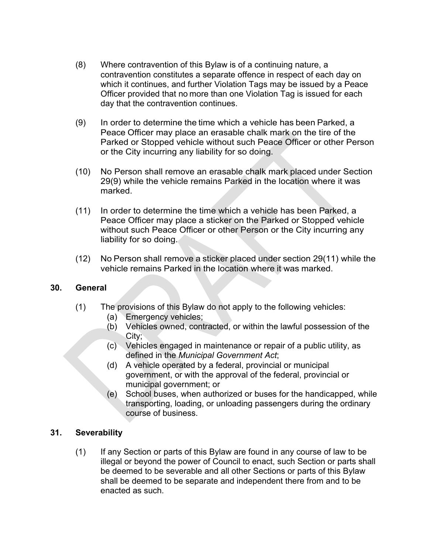- (8) Where contravention of this Bylaw is of a continuing nature, a contravention constitutes a separate offence in respect of each day on which it continues, and further Violation Tags may be issued by a Peace Officer provided that no more than one Violation Tag is issued for each day that the contravention continues.
- (9) In order to determine the time which a vehicle has been Parked, a Peace Officer may place an erasable chalk mark on the tire of the Parked or Stopped vehicle without such Peace Officer or other Person or the City incurring any liability for so doing.
- (10) No Person shall remove an erasable chalk mark placed under Section 29(9) while the vehicle remains Parked in the location where it was marked.
- (11) In order to determine the time which a vehicle has been Parked, a Peace Officer may place a sticker on the Parked or Stopped vehicle without such Peace Officer or other Person or the City incurring any liability for so doing.
- (12) No Person shall remove a sticker placed under section 29(11) while the vehicle remains Parked in the location where it was marked.

#### **30. General**

- (1) The provisions of this Bylaw do not apply to the following vehicles:
	- (a) Emergency vehicles;
	- (b) Vehicles owned, contracted, or within the lawful possession of the City;
	- (c) Vehicles engaged in maintenance or repair of a public utility, as defined in the *Municipal Government Act*;
	- (d) A vehicle operated by a federal, provincial or municipal government, or with the approval of the federal, provincial or municipal government; or
	- (e) School buses, when authorized or buses for the handicapped, while transporting, loading, or unloading passengers during the ordinary course of business.

#### **31. Severability**

(1) If any Section or parts of this Bylaw are found in any course of law to be illegal or beyond the power of Council to enact, such Section or parts shall be deemed to be severable and all other Sections or parts of this Bylaw shall be deemed to be separate and independent there from and to be enacted as such.